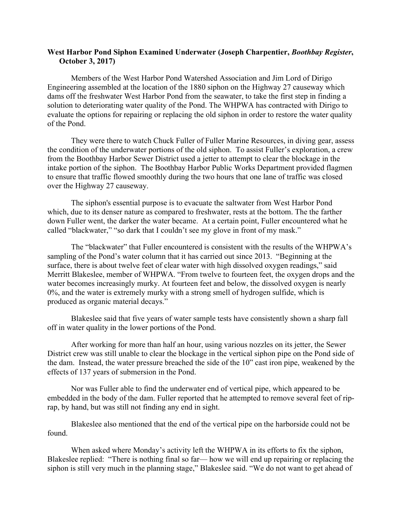## **West Harbor Pond Siphon Examined Underwater (Joseph Charpentier,** *Boothbay Register***, October 3, 2017)**

Members of the West Harbor Pond Watershed Association and Jim Lord of Dirigo Engineering assembled at the location of the 1880 siphon on the Highway 27 causeway which dams off the freshwater West Harbor Pond from the seawater, to take the first step in finding a solution to deteriorating water quality of the Pond. The WHPWA has contracted with Dirigo to evaluate the options for repairing or replacing the old siphon in order to restore the water quality of the Pond.

They were there to watch Chuck Fuller of Fuller Marine Resources, in diving gear, assess the condition of the underwater portions of the old siphon. To assist Fuller's exploration, a crew from the Boothbay Harbor Sewer District used a jetter to attempt to clear the blockage in the intake portion of the siphon. The Boothbay Harbor Public Works Department provided flagmen to ensure that traffic flowed smoothly during the two hours that one lane of traffic was closed over the Highway 27 causeway.

The siphon's essential purpose is to evacuate the saltwater from West Harbor Pond which, due to its denser nature as compared to freshwater, rests at the bottom. The the farther down Fuller went, the darker the water became. At a certain point, Fuller encountered what he called "blackwater," "so dark that I couldn't see my glove in front of my mask."

The "blackwater" that Fuller encountered is consistent with the results of the WHPWA's sampling of the Pond's water column that it has carried out since 2013. "Beginning at the surface, there is about twelve feet of clear water with high dissolved oxygen readings," said Merritt Blakeslee, member of WHPWA. "From twelve to fourteen feet, the oxygen drops and the water becomes increasingly murky. At fourteen feet and below, the dissolved oxygen is nearly 0%, and the water is extremely murky with a strong smell of hydrogen sulfide, which is produced as organic material decays."

Blakeslee said that five years of water sample tests have consistently shown a sharp fall off in water quality in the lower portions of the Pond.

After working for more than half an hour, using various nozzles on its jetter, the Sewer District crew was still unable to clear the blockage in the vertical siphon pipe on the Pond side of the dam. Instead, the water pressure breached the side of the 10" cast iron pipe, weakened by the effects of 137 years of submersion in the Pond.

Nor was Fuller able to find the underwater end of vertical pipe, which appeared to be embedded in the body of the dam. Fuller reported that he attempted to remove several feet of riprap, by hand, but was still not finding any end in sight.

Blakeslee also mentioned that the end of the vertical pipe on the harborside could not be found.

When asked where Monday's activity left the WHPWA in its efforts to fix the siphon, Blakeslee replied: "There is nothing final so far— how we will end up repairing or replacing the siphon is still very much in the planning stage," Blakeslee said. "We do not want to get ahead of